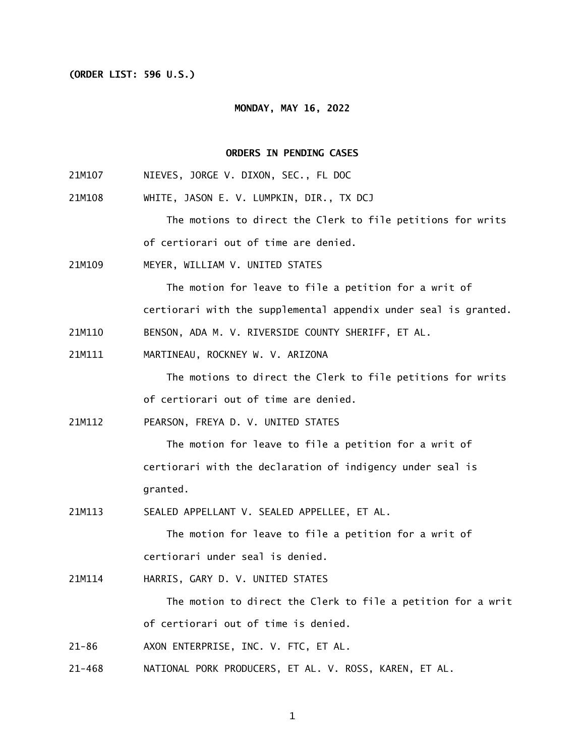#### **(ORDER LIST: 596 U.S.)**

#### **MONDAY, MAY 16, 2022**

# **ORDERS IN PENDING CASES**

- 21M107 NIEVES, JORGE V. DIXON, SEC., FL DOC
- 21M108 WHITE, JASON E. V. LUMPKIN, DIR., TX DCJ

 The motions to direct the Clerk to file petitions for writs of certiorari out of time are denied.

21M109 MEYER, WILLIAM V. UNITED STATES

> The motion for leave to file a petition for a writ of certiorari with the supplemental appendix under seal is granted.

- 21M110 BENSON, ADA M. V. RIVERSIDE COUNTY SHERIFF, ET AL.
- 21M111 MARTINEAU, ROCKNEY W. V. ARIZONA

 The motions to direct the Clerk to file petitions for writs of certiorari out of time are denied.

21M112 PEARSON, FREYA D. V. UNITED STATES

> The motion for leave to file a petition for a writ of certiorari with the declaration of indigency under seal is granted.

21M113 SEALED APPELLANT V. SEALED APPELLEE, ET AL.

> The motion for leave to file a petition for a writ of certiorari under seal is denied.

21M114 HARRIS, GARY D. V. UNITED STATES

> The motion to direct the Clerk to file a petition for a writ of certiorari out of time is denied.

- $21 86$ AXON ENTERPRISE, INC. V. FTC, ET AL.
- $21 468$ NATIONAL PORK PRODUCERS, ET AL. V. ROSS, KAREN, ET AL.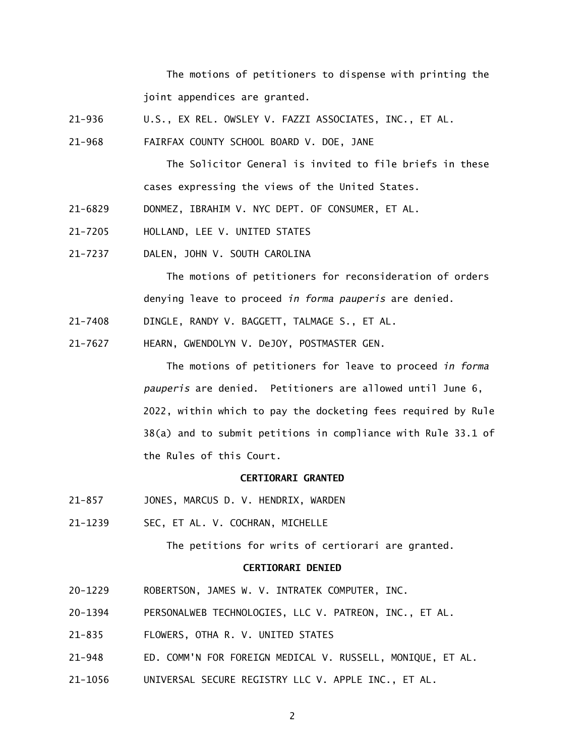The motions of petitioners to dispense with printing the joint appendices are granted.

- $21 936$ U.S., EX REL. OWSLEY V. FAZZI ASSOCIATES, INC., ET AL.
- $21 968$ FAIRFAX COUNTY SCHOOL BOARD V. DOE, JANE

 The Solicitor General is invited to file briefs in these cases expressing the views of the United States.

- 21-6829 DONMEZ, IBRAHIM V. NYC DEPT. OF CONSUMER, ET AL.
- 21-7205 HOLLAND, LEE V. UNITED STATES
- 21-7237 DALEN, JOHN V. SOUTH CAROLINA

 The motions of petitioners for reconsideration of orders denying leave to proceed *in forma pauperis* are denied.

- 21-7408 DINGLE, RANDY V. BAGGETT, TALMAGE S., ET AL.
- 21-7627 HEARN, GWENDOLYN V. DeJOY, POSTMASTER GEN.

 38(a) and to submit petitions in compliance with Rule 33.1 of the Rules of this Court. The motions of petitioners for leave to proceed *in forma pauperis* are denied. Petitioners are allowed until June 6, 2022, within which to pay the docketing fees required by Rule

### **CERTIORARI GRANTED**

- $21 857$ JONES, MARCUS D. V. HENDRIX, WARDEN
- 21-1239 SEC, ET AL. V. COCHRAN, MICHELLE

The petitions for writs of certiorari are granted.

## **CERTIORARI DENIED**

- 20-1229 ROBERTSON, JAMES W. V. INTRATEK COMPUTER, INC.
- 20-1394 PERSONALWEB TECHNOLOGIES, LLC V. PATREON, INC., ET AL.
- $21 835$ 21-835 FLOWERS, OTHA R. V. UNITED STATES
- $21 948$ 21-948 ED. COMM'N FOR FOREIGN MEDICAL V. RUSSELL, MONIQUE, ET AL.
- 21-1056 UNIVERSAL SECURE REGISTRY LLC V. APPLE INC., ET AL.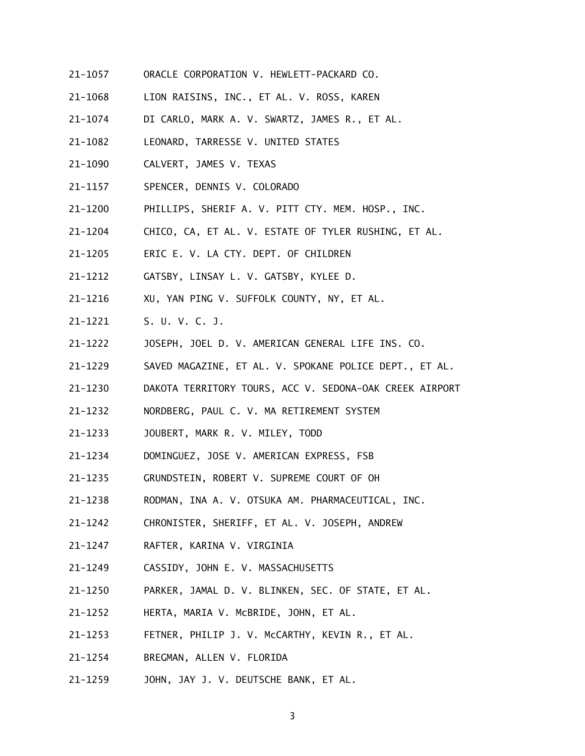- 21-1057 ORACLE CORPORATION V. HEWLETT-PACKARD CO.
- 21-1068 LION RAISINS, INC., ET AL. V. ROSS, KAREN
- 21-1074 DI CARLO, MARK A. V. SWARTZ, JAMES R., ET AL.
- 21-1082 LEONARD, TARRESSE V. UNITED STATES
- 21-1090 CALVERT, JAMES V. TEXAS
- $21 1157$ SPENCER, DENNIS V. COLORADO
- 21-1200 PHILLIPS, SHERIF A. V. PITT CTY. MEM. HOSP., INC.
- 21-1204 CHICO, CA, ET AL. V. ESTATE OF TYLER RUSHING, ET AL.
- 21-1205 ERIC E. V. LA CTY. DEPT. OF CHILDREN
- 21-1212 GATSBY, LINSAY L. V. GATSBY, KYLEE D.
- 21-1216 XU, YAN PING V. SUFFOLK COUNTY, NY, ET AL.
- 21-1221 S. U. V. C. J.
- 21-1222 JOSEPH, JOEL D. V. AMERICAN GENERAL LIFE INS. CO.
- 21-1229 SAVED MAGAZINE, ET AL. V. SPOKANE POLICE DEPT., ET AL.
- 21-1230 DAKOTA TERRITORY TOURS, ACC V. SEDONA-OAK CREEK AIRPORT
- 21-1232 NORDBERG, PAUL C. V. MA RETIREMENT SYSTEM
- 21-1233 JOUBERT, MARK R. V. MILEY, TODD
- 21-1234 DOMINGUEZ, JOSE V. AMERICAN EXPRESS, FSB
- 21-1235 GRUNDSTEIN, ROBERT V. SUPREME COURT OF OH
- 21-1238 RODMAN, INA A. V. OTSUKA AM. PHARMACEUTICAL, INC.
- 21-1242 CHRONISTER, SHERIFF, ET AL. V. JOSEPH, ANDREW
- 21-1247 RAFTER, KARINA V. VIRGINIA
- 21-1249 CASSIDY, JOHN E. V. MASSACHUSETTS
- 21-1250 PARKER, JAMAL D. V. BLINKEN, SEC. OF STATE, ET AL.
- 21-1252 HERTA, MARIA V. McBRIDE, JOHN, ET AL.
- 21-1253 FETNER, PHILIP J. V. McCARTHY, KEVIN R., ET AL.
- 21-1254 BREGMAN, ALLEN V. FLORIDA
- 21–1259 JOHN, JAY J. V. DEUTSCHE BANK, ET AL.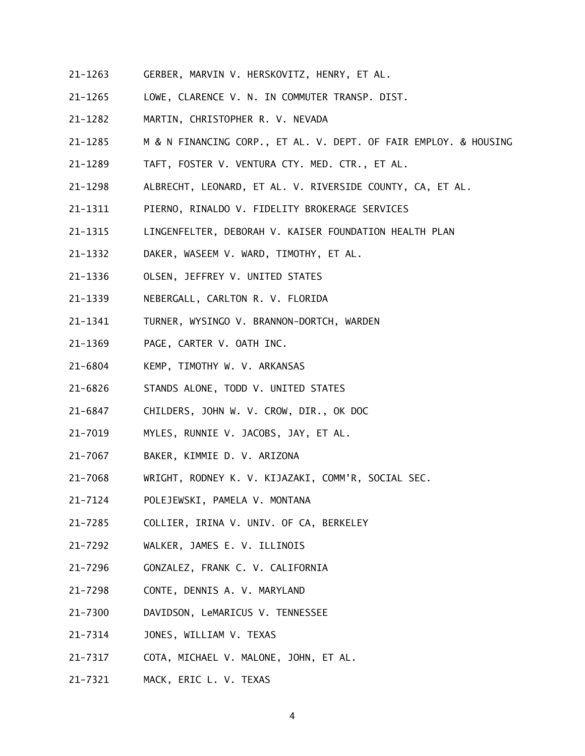- 21-1263 GERBER, MARVIN V. HERSKOVITZ, HENRY, ET AL.
- 21-1265 LOWE, CLARENCE V. N. IN COMMUTER TRANSP. DIST.
- 21-1282 MARTIN, CHRISTOPHER R. V. NEVADA
- 21-1285 M & N FINANCING CORP., ET AL. V. DEPT. OF FAIR EMPLOY. & HOUSING
- 21-1289 TAFT, FOSTER V. VENTURA CTY. MED. CTR., ET AL.
- 21-1298 ALBRECHT, LEONARD, ET AL. V. RIVERSIDE COUNTY, CA, ET AL.
- 21-1311 PIERNO, RINALDO V. FIDELITY BROKERAGE SERVICES
- 21-1315 LINGENFELTER, DEBORAH V. KAISER FOUNDATION HEALTH PLAN
- 21-1332 DAKER, WASEEM V. WARD, TIMOTHY, ET AL.
- 21-1336 OLSEN, JEFFREY V. UNITED STATES
- 21-1339 NEBERGALL, CARLTON R. V. FLORIDA
- 21-1341 TURNER, WYSINGO V. BRANNON-DORTCH, WARDEN
- 21-1369 PAGE, CARTER V. OATH INC.
- 21-6804 KEMP, TIMOTHY W. V. ARKANSAS
- 21-6826 STANDS ALONE, TODD V. UNITED STATES
- 21-6847 CHILDERS, JOHN W. V. CROW, DIR., OK DOC
- 21-7019 MYLES, RUNNIE V. JACOBS, JAY, ET AL.
- 21-7067 BAKER, KIMMIE D. V. ARIZONA
- 21-7068 WRIGHT, RODNEY K. V. KIJAZAKI, COMM'R, SOCIAL SEC.
- 21-7124 POLEJEWSKI, PAMELA V. MONTANA
- 21-7285 COLLIER, IRINA V. UNIV. OF CA, BERKELEY
- 21-7292 WALKER, JAMES E. V. ILLINOIS
- 21-7296 GONZALEZ, FRANK C. V. CALIFORNIA
- 21-7298 CONTE, DENNIS A. V. MARYLAND
- 21-7300 DAVIDSON, LeMARICUS V. TENNESSEE
- 21-7314 JONES, WILLIAM V. TEXAS
- $21 7317$ COTA, MICHAEL V. MALONE, JOHN, ET AL.
- 21-7321 MACK, ERIC L. V. TEXAS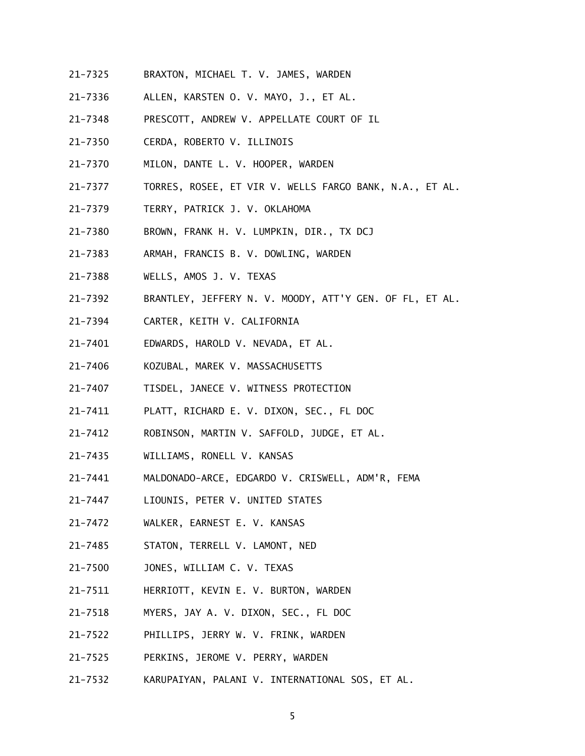- 21-7325 BRAXTON, MICHAEL T. V. JAMES, WARDEN
- 21-7336 ALLEN, KARSTEN O. V. MAYO, J., ET AL.
- 21-7348 PRESCOTT, ANDREW V. APPELLATE COURT OF IL
- 21-7350 CERDA, ROBERTO V. ILLINOIS
- 21-7370 MILON, DANTE L. V. HOOPER, WARDEN
- 21-7377 TORRES, ROSEE, ET VIR V. WELLS FARGO BANK, N.A., ET AL.
- 21-7379 TERRY, PATRICK J. V. OKLAHOMA
- 21-7380 BROWN, FRANK H. V. LUMPKIN, DIR., TX DCJ
- 21-7383 ARMAH, FRANCIS B. V. DOWLING, WARDEN
- 21-7388 WELLS, AMOS J. V. TEXAS
- 21-7392 BRANTLEY, JEFFERY N. V. MOODY, ATT'Y GEN. OF FL, ET AL.
- 21-7394 CARTER, KEITH V. CALIFORNIA
- 21-7401 EDWARDS, HAROLD V. NEVADA, ET AL.
- 21-7406 KOZUBAL, MAREK V. MASSACHUSETTS
- 21-7407 TISDEL, JANECE V. WITNESS PROTECTION
- 21-7411 PLATT, RICHARD E. V. DIXON, SEC., FL DOC
- 21-7412 ROBINSON, MARTIN V. SAFFOLD, JUDGE, ET AL.
- 21-7435 WILLIAMS, RONELL V. KANSAS
- 21-7441 MALDONADO-ARCE, EDGARDO V. CRISWELL, ADM'R, FEMA
- 21-7447 LIOUNIS, PETER V. UNITED STATES
- 21-7472 WALKER, EARNEST E. V. KANSAS
- 21-7485 STATON, TERRELL V. LAMONT, NED
- 21-7500 JONES, WILLIAM C. V. TEXAS
- 21-7511 HERRIOTT, KEVIN E. V. BURTON, WARDEN
- 21-7518 MYERS, JAY A. V. DIXON, SEC., FL DOC
- 21-7522 PHILLIPS, JERRY W. V. FRINK, WARDEN
- 21-7525 PERKINS, JEROME V. PERRY, WARDEN
- 21-7532 KARUPAIYAN, PALANI V. INTERNATIONAL SOS, ET AL.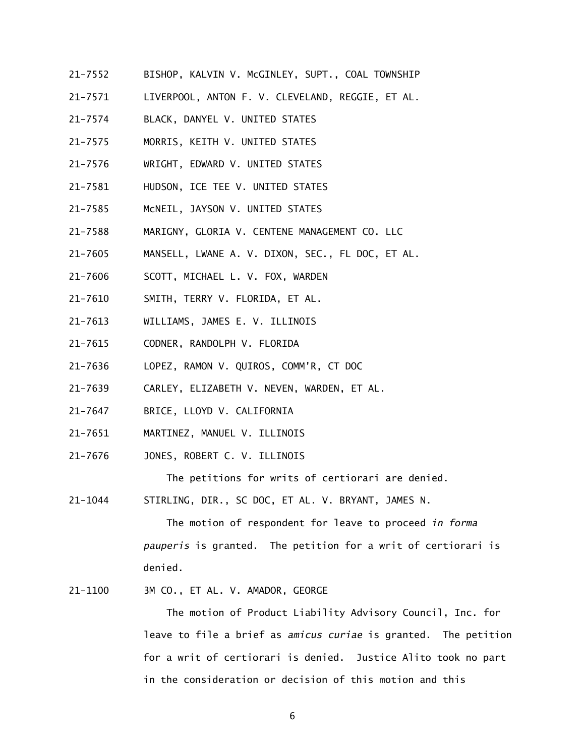- 21-7552 BISHOP, KALVIN V. McGINLEY, SUPT., COAL TOWNSHIP
- 21-7571 LIVERPOOL, ANTON F. V. CLEVELAND, REGGIE, ET AL.
- 21-7574 BLACK, DANYEL V. UNITED STATES
- 21-7575 MORRIS, KEITH V. UNITED STATES
- 21-7576 WRIGHT, EDWARD V. UNITED STATES
- 21-7581 HUDSON, ICE TEE V. UNITED STATES
- 21-7585 McNEIL, JAYSON V. UNITED STATES
- 21-7588 MARIGNY, GLORIA V. CENTENE MANAGEMENT CO. LLC
- 21-7605 MANSELL, LWANE A. V. DIXON, SEC., FL DOC, ET AL.
- 21-7606 SCOTT, MICHAEL L. V. FOX, WARDEN
- 21-7610 SMITH, TERRY V. FLORIDA, ET AL.
- 21-7613 WILLIAMS, JAMES E. V. ILLINOIS
- 21-7615 CODNER, RANDOLPH V. FLORIDA
- 21-7636 LOPEZ, RAMON V. QUIROS, COMM'R, CT DOC
- 21-7639 CARLEY, ELIZABETH V. NEVEN, WARDEN, ET AL.
- 21-7647 BRICE, LLOYD V. CALIFORNIA
- 21-7651 MARTINEZ, MANUEL V. ILLINOIS
- 21-7676 JONES, ROBERT C. V. ILLINOIS

The petitions for writs of certiorari are denied.

21-1044 STIRLING, DIR., SC DOC, ET AL. V. BRYANT, JAMES N.

  *pauperis* is granted. The petition for a writ of certiorari is The motion of respondent for leave to proceed *in forma* denied.

21-1100 3M CO., ET AL. V. AMADOR, GEORGE

 for a writ of certiorari is denied. Justice Alito took no part The motion of Product Liability Advisory Council, Inc. for leave to file a brief as *amicus curiae* is granted. The petition in the consideration or decision of this motion and this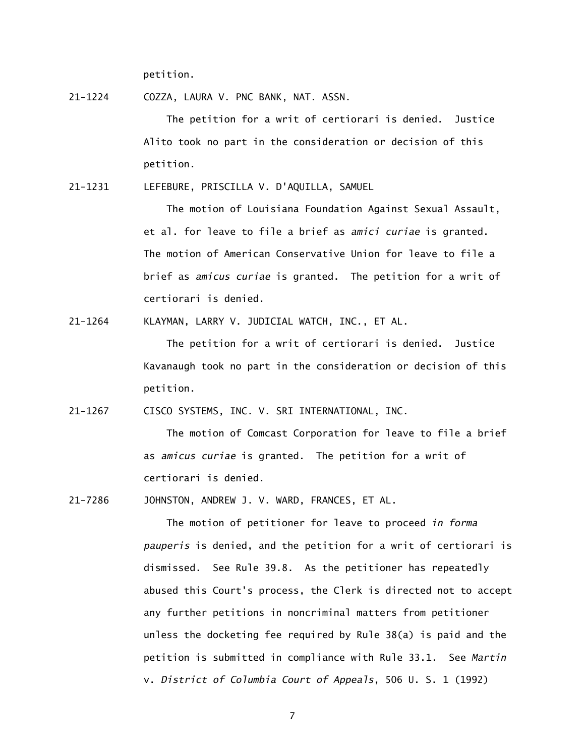petition.

21-1224 COZZA, LAURA V. PNC BANK, NAT. ASSN.

 The petition for a writ of certiorari is denied. Justice Alito took no part in the consideration or decision of this petition.

21-1231 LEFEBURE, PRISCILLA V. D'AQUILLA, SAMUEL

 The motion of Louisiana Foundation Against Sexual Assault, et al. for leave to file a brief as *amici curiae* is granted. The motion of American Conservative Union for leave to file a brief as *amicus curiae* is granted. The petition for a writ of certiorari is denied.

21-1264 KLAYMAN, LARRY V. JUDICIAL WATCH, INC., ET AL.

 The petition for a writ of certiorari is denied. Justice Kavanaugh took no part in the consideration or decision of this petition.

21-1267 CISCO SYSTEMS, INC. V. SRI INTERNATIONAL, INC.

 The motion of Comcast Corporation for leave to file a brief as *amicus curiae* is granted. The petition for a writ of certiorari is denied.

21-7286 JOHNSTON, ANDREW J. V. WARD, FRANCES, ET AL.

 The motion of petitioner for leave to proceed *in forma pauperis* is denied, and the petition for a writ of certiorari is dismissed. See Rule 39.8. As the petitioner has repeatedly abused this Court's process, the Clerk is directed not to accept any further petitions in noncriminal matters from petitioner unless the docketing fee required by Rule 38(a) is paid and the petition is submitted in compliance with Rule 33.1. See *Martin*  v. *District of Columbia Court of Appeals*, 506 U. S. 1 (1992)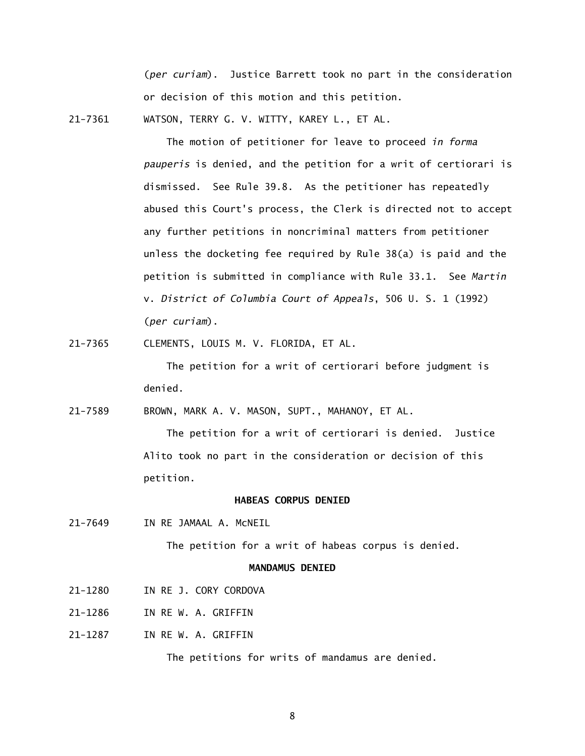(*per curiam*). Justice Barrett took no part in the consideration or decision of this motion and this petition.

21-7361 WATSON, TERRY G. V. WITTY, KAREY L., ET AL.

 The motion of petitioner for leave to proceed *in forma pauperis* is denied, and the petition for a writ of certiorari is dismissed. See Rule 39.8. As the petitioner has repeatedly abused this Court's process, the Clerk is directed not to accept any further petitions in noncriminal matters from petitioner unless the docketing fee required by Rule 38(a) is paid and the petition is submitted in compliance with Rule 33.1. See *Martin*  v. *District of Columbia Court of Appeals*, 506 U. S. 1 (1992) (*per curiam*).

21-7365 CLEMENTS, LOUIS M. V. FLORIDA, ET AL.

 The petition for a writ of certiorari before judgment is denied.

21-7589 BROWN, MARK A. V. MASON, SUPT., MAHANOY, ET AL.

 The petition for a writ of certiorari is denied. Justice Alito took no part in the consideration or decision of this petition.

### **HABEAS CORPUS DENIED**

21-7649 IN RE JAMAAL A. McNEIL

The petition for a writ of habeas corpus is denied.

## **MANDAMUS DENIED**

- 21-1280 IN RE J. CORY CORDOVA
- 21-1286 IN RE W. A. GRIFFIN
- 21-1287 IN RE W. A. GRIFFIN

The petitions for writs of mandamus are denied.